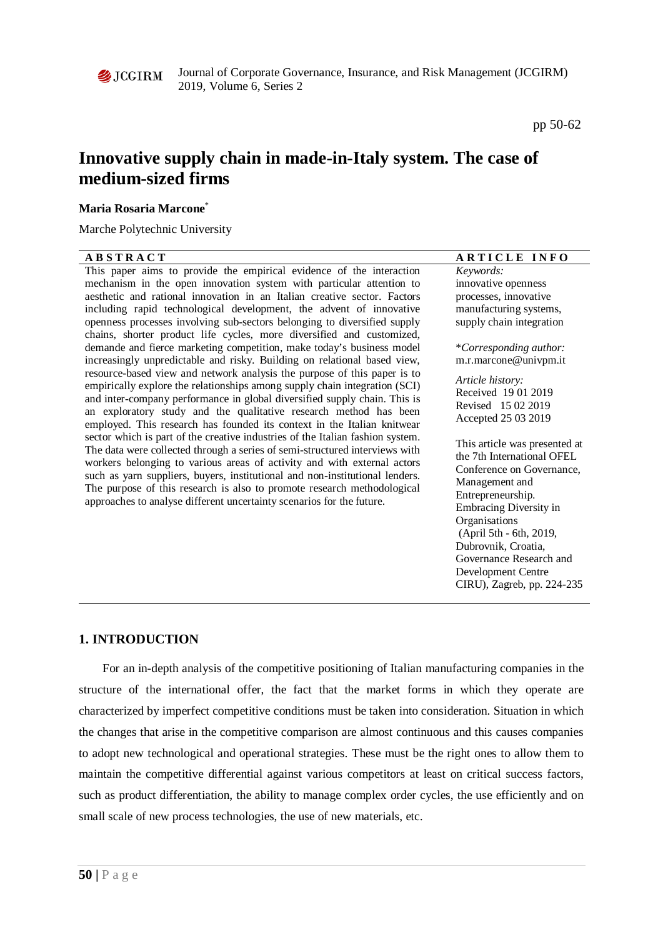

Journal of Corporate Governance, Insurance, and Risk Management (JCGIRM) 2019, Volume 6, Series 2

pp 50-62

CIRU), Zagreb, pp. 224-235

# **Innovative supply chain in made-in-Italy system. The case of medium-sized firms**

### **Maria Rosaria Marcone**\*

Marche Polytechnic University

| <b>ABSTRACT</b>                                                                                                                                  | <b>ARTICLE INFO</b>           |
|--------------------------------------------------------------------------------------------------------------------------------------------------|-------------------------------|
| This paper aims to provide the empirical evidence of the interaction                                                                             | Keywords:                     |
| mechanism in the open innovation system with particular attention to                                                                             | innovative openness           |
| aesthetic and rational innovation in an Italian creative sector. Factors                                                                         | processes, innovative         |
| including rapid technological development, the advent of innovative                                                                              | manufacturing systems,        |
| openness processes involving sub-sectors belonging to diversified supply                                                                         | supply chain integration      |
| chains, shorter product life cycles, more diversified and customized,                                                                            |                               |
| demande and fierce marketing competition, make today's business model                                                                            | *Corresponding author:        |
| increasingly unpredictable and risky. Building on relational based view,                                                                         | m.r.marcone@univpm.it         |
| resource-based view and network analysis the purpose of this paper is to                                                                         | Article history:              |
| empirically explore the relationships among supply chain integration (SCI)                                                                       | Received 19 01 2019           |
| and inter-company performance in global diversified supply chain. This is                                                                        | Revised 15 02 2019            |
| an exploratory study and the qualitative research method has been                                                                                | Accepted 25 03 2019           |
| employed. This research has founded its context in the Italian knitwear                                                                          |                               |
| sector which is part of the creative industries of the Italian fashion system.                                                                   | This article was presented at |
| The data were collected through a series of semi-structured interviews with                                                                      | the 7th International OFEL    |
| workers belonging to various areas of activity and with external actors                                                                          | Conference on Governance,     |
| such as yarn suppliers, buyers, institutional and non-institutional lenders.                                                                     | Management and                |
| The purpose of this research is also to promote research methodological<br>approaches to analyse different uncertainty scenarios for the future. | Entrepreneurship.             |
|                                                                                                                                                  | <b>Embracing Diversity in</b> |
|                                                                                                                                                  | Organisations                 |
|                                                                                                                                                  | (April 5th - 6th, 2019,       |
|                                                                                                                                                  | Dubrovnik, Croatia,           |
|                                                                                                                                                  | Governance Research and       |
|                                                                                                                                                  | Development Centre            |

# **1. INTRODUCTION**

For an in-depth analysis of the competitive positioning of Italian manufacturing companies in the structure of the international offer, the fact that the market forms in which they operate are characterized by imperfect competitive conditions must be taken into consideration. Situation in which the changes that arise in the competitive comparison are almost continuous and this causes companies to adopt new technological and operational strategies. These must be the right ones to allow them to maintain the competitive differential against various competitors at least on critical success factors, such as product differentiation, the ability to manage complex order cycles, the use efficiently and on small scale of new process technologies, the use of new materials, etc.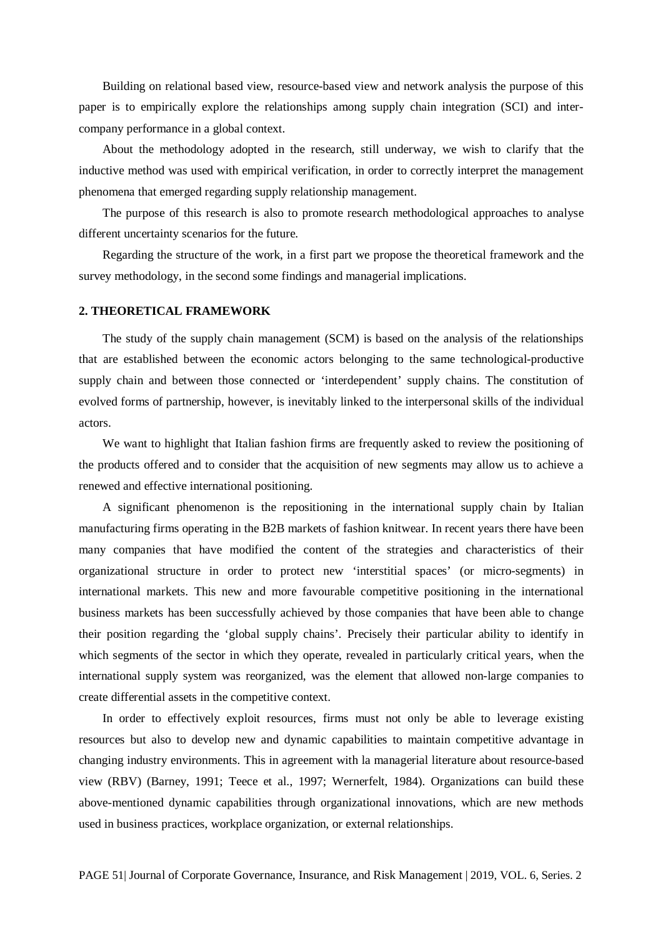Building on relational based view, resource-based view and network analysis the purpose of this paper is to empirically explore the relationships among supply chain integration (SCI) and intercompany performance in a global context.

About the methodology adopted in the research, still underway, we wish to clarify that the inductive method was used with empirical verification, in order to correctly interpret the management phenomena that emerged regarding supply relationship management.

The purpose of this research is also to promote research methodological approaches to analyse different uncertainty scenarios for the future.

Regarding the structure of the work, in a first part we propose the theoretical framework and the survey methodology, in the second some findings and managerial implications.

## **2. THEORETICAL FRAMEWORK**

The study of the supply chain management (SCM) is based on the analysis of the relationships that are established between the economic actors belonging to the same technological-productive supply chain and between those connected or 'interdependent' supply chains. The constitution of evolved forms of partnership, however, is inevitably linked to the interpersonal skills of the individual actors.

We want to highlight that Italian fashion firms are frequently asked to review the positioning of the products offered and to consider that the acquisition of new segments may allow us to achieve a renewed and effective international positioning.

A significant phenomenon is the repositioning in the international supply chain by Italian manufacturing firms operating in the B2B markets of fashion knitwear. In recent years there have been many companies that have modified the content of the strategies and characteristics of their organizational structure in order to protect new 'interstitial spaces' (or micro-segments) in international markets. This new and more favourable competitive positioning in the international business markets has been successfully achieved by those companies that have been able to change their position regarding the 'global supply chains'. Precisely their particular ability to identify in which segments of the sector in which they operate, revealed in particularly critical years, when the international supply system was reorganized, was the element that allowed non-large companies to create differential assets in the competitive context.

In order to effectively exploit resources, firms must not only be able to leverage existing resources but also to develop new and dynamic capabilities to maintain competitive advantage in changing industry environments. This in agreement with la managerial literature about resource-based view (RBV) (Barney, 1991; Teece et al., 1997; Wernerfelt, 1984). Organizations can build these above-mentioned dynamic capabilities through organizational innovations, which are new methods used in business practices, workplace organization, or external relationships.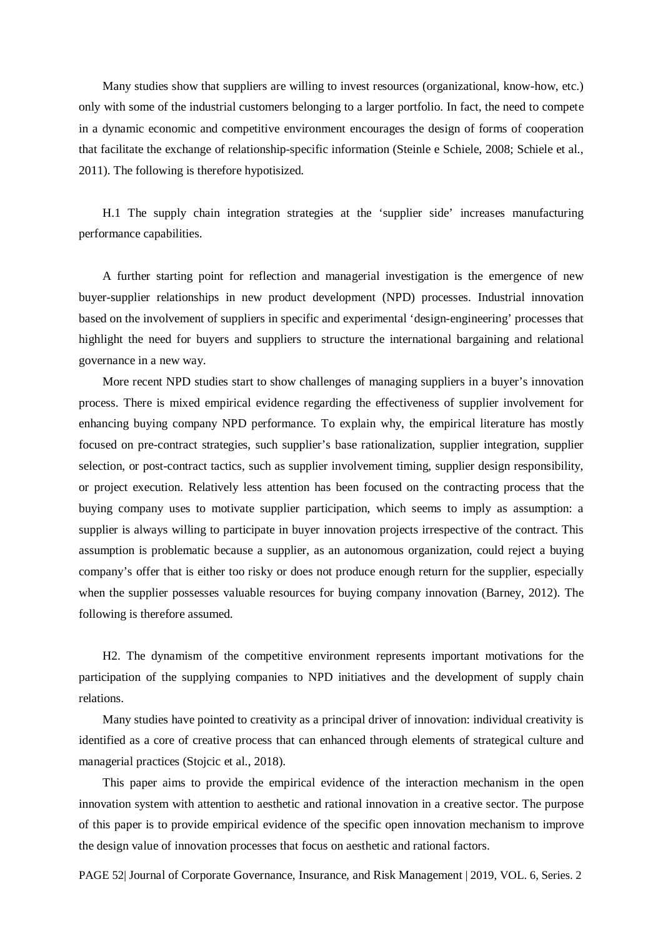Many studies show that suppliers are willing to invest resources (organizational, know-how, etc.) only with some of the industrial customers belonging to a larger portfolio. In fact, the need to compete in a dynamic economic and competitive environment encourages the design of forms of cooperation that facilitate the exchange of relationship-specific information (Steinle e Schiele, 2008; Schiele et al., 2011). The following is therefore hypotisized.

H.1 The supply chain integration strategies at the 'supplier side' increases manufacturing performance capabilities.

A further starting point for reflection and managerial investigation is the emergence of new buyer-supplier relationships in new product development (NPD) processes. Industrial innovation based on the involvement of suppliers in specific and experimental 'design-engineering' processes that highlight the need for buyers and suppliers to structure the international bargaining and relational governance in a new way.

More recent NPD studies start to show challenges of managing suppliers in a buyer's innovation process. There is mixed empirical evidence regarding the effectiveness of supplier involvement for enhancing buying company NPD performance. To explain why, the empirical literature has mostly focused on pre-contract strategies, such supplier's base rationalization, supplier integration, supplier selection, or post-contract tactics, such as supplier involvement timing, supplier design responsibility, or project execution. Relatively less attention has been focused on the contracting process that the buying company uses to motivate supplier participation, which seems to imply as assumption: a supplier is always willing to participate in buyer innovation projects irrespective of the contract. This assumption is problematic because a supplier, as an autonomous organization, could reject a buying company's offer that is either too risky or does not produce enough return for the supplier, especially when the supplier possesses valuable resources for buying company innovation (Barney, 2012). The following is therefore assumed.

H2. The dynamism of the competitive environment represents important motivations for the participation of the supplying companies to NPD initiatives and the development of supply chain relations.

Many studies have pointed to creativity as a principal driver of innovation: individual creativity is identified as a core of creative process that can enhanced through elements of strategical culture and managerial practices (Stojcic et al., 2018).

This paper aims to provide the empirical evidence of the interaction mechanism in the open innovation system with attention to aesthetic and rational innovation in a creative sector. The purpose of this paper is to provide empirical evidence of the specific open innovation mechanism to improve the design value of innovation processes that focus on aesthetic and rational factors.

PAGE 52| Journal of Corporate Governance, Insurance, and Risk Management | 2019, VOL. 6, Series. 2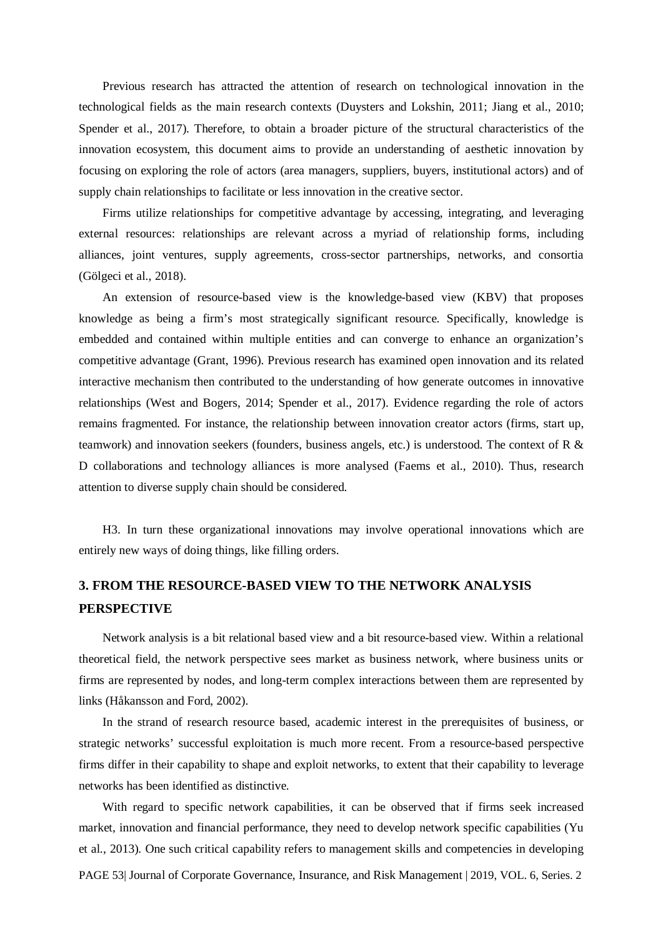Previous research has attracted the attention of research on technological innovation in the technological fields as the main research contexts (Duysters and Lokshin, 2011; Jiang et al., 2010; Spender et al., 2017). Therefore, to obtain a broader picture of the structural characteristics of the innovation ecosystem, this document aims to provide an understanding of aesthetic innovation by focusing on exploring the role of actors (area managers, suppliers, buyers, institutional actors) and of supply chain relationships to facilitate or less innovation in the creative sector.

Firms utilize relationships for competitive advantage by accessing, integrating, and leveraging external resources: relationships are relevant across a myriad of relationship forms, including alliances, joint ventures, supply agreements, cross-sector partnerships, networks, and consortia (Gölgeci et al., 2018).

An extension of resource-based view is the knowledge-based view (KBV) that proposes knowledge as being a firm's most strategically significant resource. Specifically, knowledge is embedded and contained within multiple entities and can converge to enhance an organization's competitive advantage (Grant, 1996). Previous research has examined open innovation and its related interactive mechanism then contributed to the understanding of how generate outcomes in innovative relationships (West and Bogers, 2014; Spender et al., 2017). Evidence regarding the role of actors remains fragmented. For instance, the relationship between innovation creator actors (firms, start up, teamwork) and innovation seekers (founders, business angels, etc.) is understood. The context of R & D collaborations and technology alliances is more analysed (Faems et al., 2010). Thus, research attention to diverse supply chain should be considered.

H3. In turn these organizational innovations may involve operational innovations which are entirely new ways of doing things, like filling orders.

# **3. FROM THE RESOURCE-BASED VIEW TO THE NETWORK ANALYSIS PERSPECTIVE**

Network analysis is a bit relational based view and a bit resource-based view. Within a relational theoretical field, the network perspective sees market as business network, where business units or firms are represented by nodes, and long-term complex interactions between them are represented by links (Håkansson and Ford, 2002).

In the strand of research resource based, academic interest in the prerequisites of business, or strategic networks' successful exploitation is much more recent. From a resource-based perspective firms differ in their capability to shape and exploit networks, to extent that their capability to leverage networks has been identified as distinctive.

PAGE 53| Journal of Corporate Governance, Insurance, and Risk Management | 2019, VOL. 6, Series. 2 With regard to specific network capabilities, it can be observed that if firms seek increased market, innovation and financial performance, they need to develop network specific capabilities (Yu et al., 2013). One such critical capability refers to management skills and competencies in developing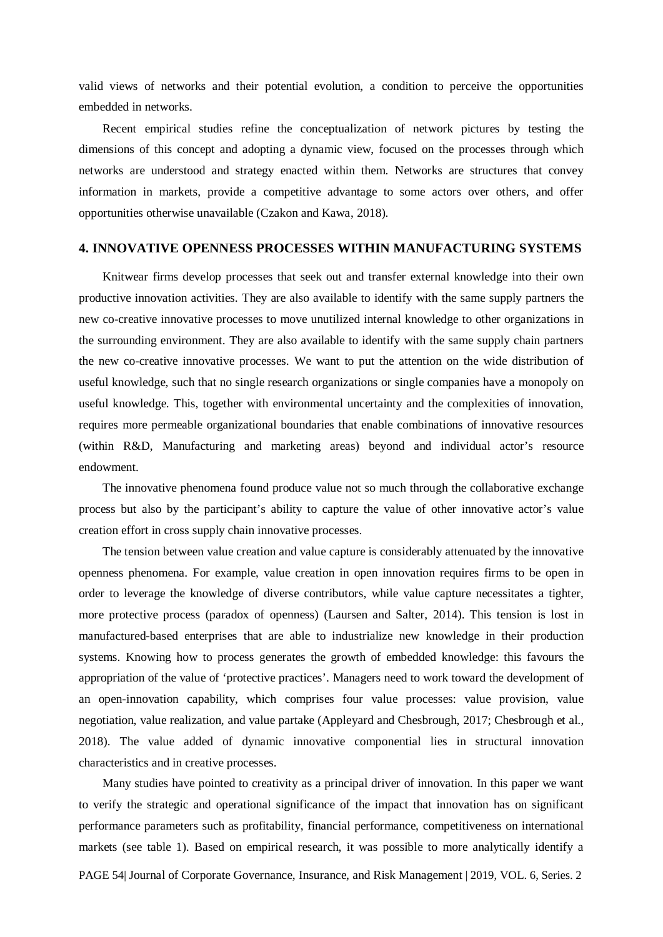valid views of networks and their potential evolution, a condition to perceive the opportunities embedded in networks.

Recent empirical studies refine the conceptualization of network pictures by testing the dimensions of this concept and adopting a dynamic view, focused on the processes through which networks are understood and strategy enacted within them. Networks are structures that convey information in markets, provide a competitive advantage to some actors over others, and offer opportunities otherwise unavailable (Czakon and Kawa, 2018).

#### **4. INNOVATIVE OPENNESS PROCESSES WITHIN MANUFACTURING SYSTEMS**

Knitwear firms develop processes that seek out and transfer external knowledge into their own productive innovation activities. They are also available to identify with the same supply partners the new co-creative innovative processes to move unutilized internal knowledge to other organizations in the surrounding environment. They are also available to identify with the same supply chain partners the new co-creative innovative processes. We want to put the attention on the wide distribution of useful knowledge, such that no single research organizations or single companies have a monopoly on useful knowledge. This, together with environmental uncertainty and the complexities of innovation, requires more permeable organizational boundaries that enable combinations of innovative resources (within R&D, Manufacturing and marketing areas) beyond and individual actor's resource endowment.

The innovative phenomena found produce value not so much through the collaborative exchange process but also by the participant's ability to capture the value of other innovative actor's value creation effort in cross supply chain innovative processes.

The tension between value creation and value capture is considerably attenuated by the innovative openness phenomena. For example, value creation in open innovation requires firms to be open in order to leverage the knowledge of diverse contributors, while value capture necessitates a tighter, more protective process (paradox of openness) (Laursen and Salter, 2014). This tension is lost in manufactured-based enterprises that are able to industrialize new knowledge in their production systems. Knowing how to process generates the growth of embedded knowledge: this favours the appropriation of the value of 'protective practices'. Managers need to work toward the development of an open-innovation capability, which comprises four value processes: value provision, value negotiation, value realization, and value partake (Appleyard and Chesbrough, 2017; Chesbrough et al., 2018). The value added of dynamic innovative componential lies in structural innovation characteristics and in creative processes.

Many studies have pointed to creativity as a principal driver of innovation. In this paper we want to verify the strategic and operational significance of the impact that innovation has on significant performance parameters such as profitability, financial performance, competitiveness on international markets (see table 1). Based on empirical research, it was possible to more analytically identify a

PAGE 54| Journal of Corporate Governance, Insurance, and Risk Management | 2019, VOL. 6, Series. 2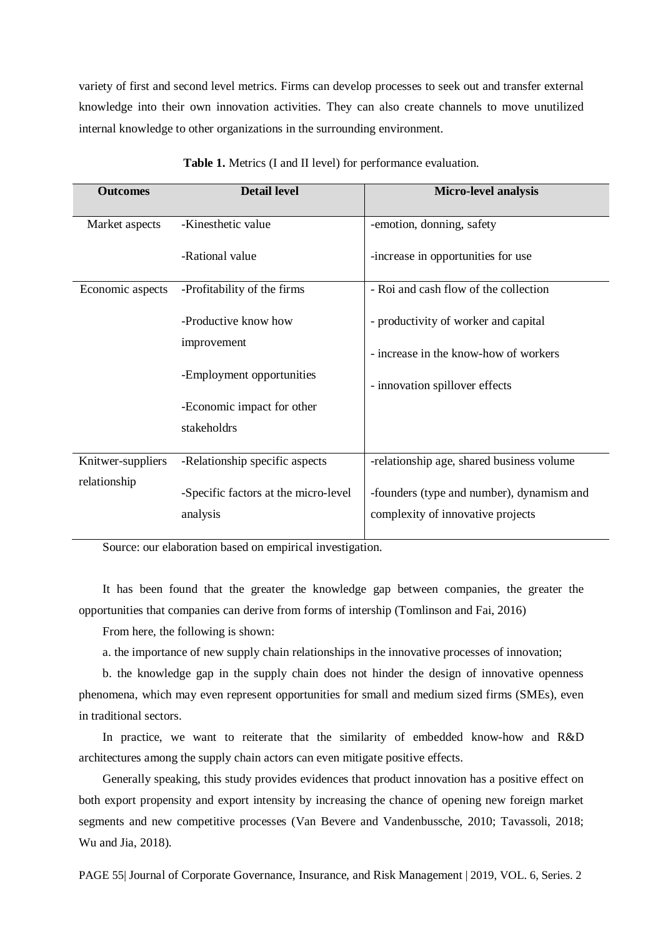variety of first and second level metrics. Firms can develop processes to seek out and transfer external knowledge into their own innovation activities. They can also create channels to move unutilized internal knowledge to other organizations in the surrounding environment.

| <b>Outcomes</b>   | <b>Detail level</b>                              | <b>Micro-level analysis</b>                                                    |
|-------------------|--------------------------------------------------|--------------------------------------------------------------------------------|
| Market aspects    | -Kinesthetic value                               | -emotion, donning, safety                                                      |
|                   | -Rational value                                  | -increase in opportunities for use                                             |
| Economic aspects  | -Profitability of the firms                      | - Roi and cash flow of the collection                                          |
|                   | -Productive know how                             | - productivity of worker and capital                                           |
|                   | improvement                                      | - increase in the know-how of workers                                          |
|                   | -Employment opportunities                        | - innovation spillover effects                                                 |
|                   | -Economic impact for other                       |                                                                                |
|                   | stakeholdrs                                      |                                                                                |
| Knitwer-suppliers | -Relationship specific aspects                   | -relationship age, shared business volume                                      |
| relationship      | -Specific factors at the micro-level<br>analysis | -founders (type and number), dynamism and<br>complexity of innovative projects |

**Table 1.** Metrics (I and II level) for performance evaluation.

Source: our elaboration based on empirical investigation.

It has been found that the greater the knowledge gap between companies, the greater the opportunities that companies can derive from forms of intership (Tomlinson and Fai, 2016)

From here, the following is shown:

a. the importance of new supply chain relationships in the innovative processes of innovation;

b. the knowledge gap in the supply chain does not hinder the design of innovative openness phenomena, which may even represent opportunities for small and medium sized firms (SMEs), even in traditional sectors.

In practice, we want to reiterate that the similarity of embedded know-how and R&D architectures among the supply chain actors can even mitigate positive effects.

Generally speaking, this study provides evidences that product innovation has a positive effect on both export propensity and export intensity by increasing the chance of opening new foreign market segments and new competitive processes (Van Bevere and Vandenbussche, 2010; Tavassoli, 2018; Wu and Jia, 2018).

PAGE 55| Journal of Corporate Governance, Insurance, and Risk Management | 2019, VOL. 6, Series. 2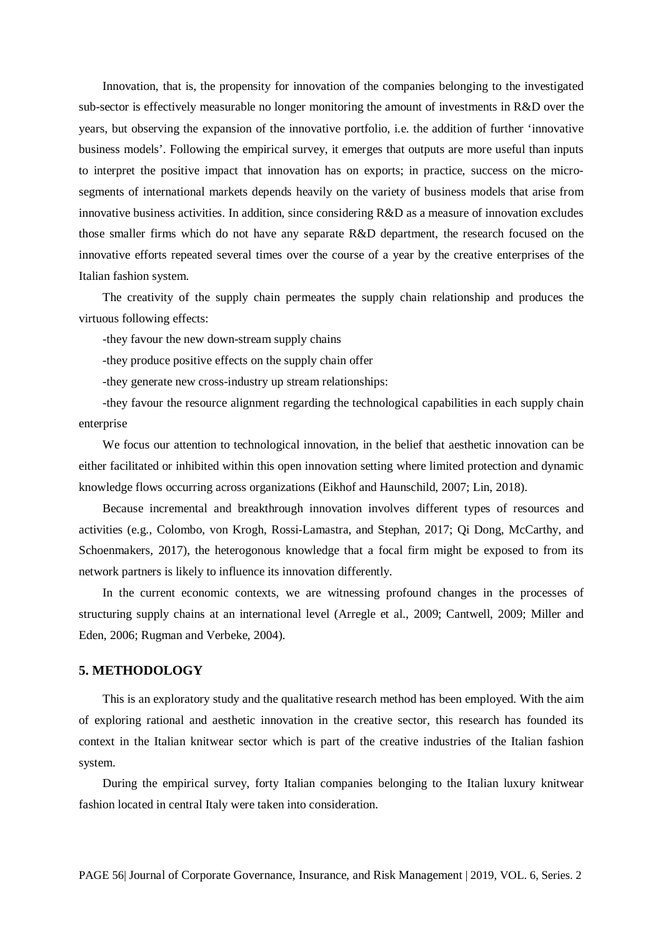Innovation, that is, the propensity for innovation of the companies belonging to the investigated sub-sector is effectively measurable no longer monitoring the amount of investments in R&D over the years, but observing the expansion of the innovative portfolio, i.e. the addition of further 'innovative business models'. Following the empirical survey, it emerges that outputs are more useful than inputs to interpret the positive impact that innovation has on exports; in practice, success on the microsegments of international markets depends heavily on the variety of business models that arise from innovative business activities. In addition, since considering R&D as a measure of innovation excludes those smaller firms which do not have any separate R&D department, the research focused on the innovative efforts repeated several times over the course of a year by the creative enterprises of the Italian fashion system.

The creativity of the supply chain permeates the supply chain relationship and produces the virtuous following effects:

-they favour the new down-stream supply chains

-they produce positive effects on the supply chain offer

-they generate new cross-industry up stream relationships:

-they favour the resource alignment regarding the technological capabilities in each supply chain enterprise

We focus our attention to technological innovation, in the belief that aesthetic innovation can be either facilitated or inhibited within this open innovation setting where limited protection and dynamic knowledge flows occurring across organizations (Eikhof and Haunschild, 2007; Lin, 2018).

Because incremental and breakthrough innovation involves different types of resources and activities (e.g., Colombo, von Krogh, Rossi-Lamastra, and Stephan, 2017; Qi Dong, McCarthy, and Schoenmakers, 2017), the heterogonous knowledge that a focal firm might be exposed to from its network partners is likely to influence its innovation differently.

In the current economic contexts, we are witnessing profound changes in the processes of structuring supply chains at an international level (Arregle et al., 2009; Cantwell, 2009; Miller and Eden, 2006; Rugman and Verbeke, 2004).

#### **5. METHODOLOGY**

This is an exploratory study and the qualitative research method has been employed. With the aim of exploring rational and aesthetic innovation in the creative sector, this research has founded its context in the Italian knitwear sector which is part of the creative industries of the Italian fashion system.

During the empirical survey, forty Italian companies belonging to the Italian luxury knitwear fashion located in central Italy were taken into consideration.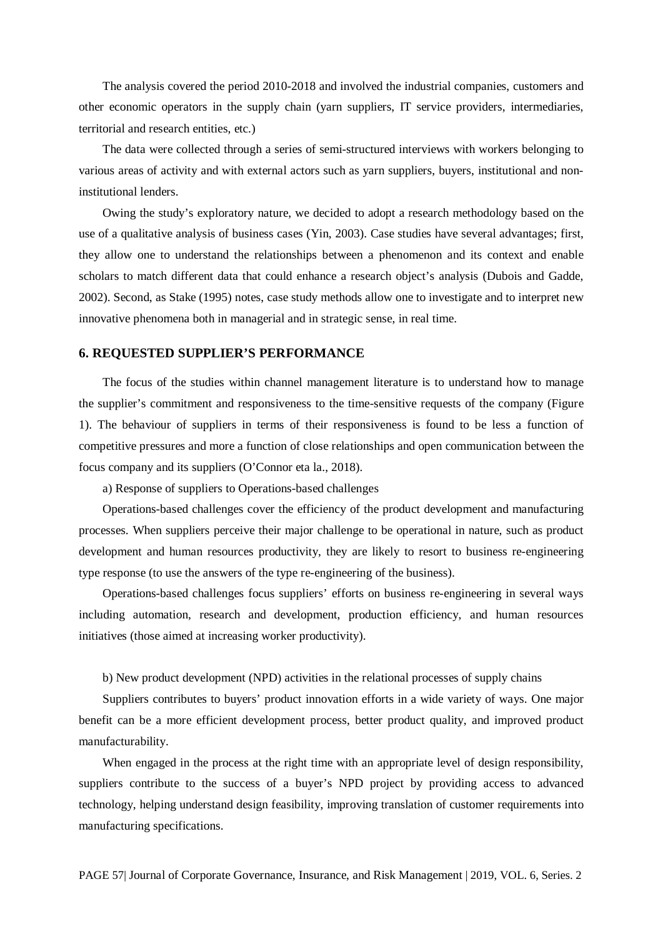The analysis covered the period 2010-2018 and involved the industrial companies, customers and other economic operators in the supply chain (yarn suppliers, IT service providers, intermediaries, territorial and research entities, etc.)

The data were collected through a series of semi-structured interviews with workers belonging to various areas of activity and with external actors such as yarn suppliers, buyers, institutional and noninstitutional lenders.

Owing the study's exploratory nature, we decided to adopt a research methodology based on the use of a qualitative analysis of business cases (Yin, 2003). Case studies have several advantages; first, they allow one to understand the relationships between a phenomenon and its context and enable scholars to match different data that could enhance a research object's analysis (Dubois and Gadde, 2002). Second, as Stake (1995) notes, case study methods allow one to investigate and to interpret new innovative phenomena both in managerial and in strategic sense, in real time.

#### **6. REQUESTED SUPPLIER'S PERFORMANCE**

The focus of the studies within channel management literature is to understand how to manage the supplier's commitment and responsiveness to the time-sensitive requests of the company (Figure 1). The behaviour of suppliers in terms of their responsiveness is found to be less a function of competitive pressures and more a function of close relationships and open communication between the focus company and its suppliers (O'Connor eta la., 2018).

a) Response of suppliers to Operations-based challenges

Operations-based challenges cover the efficiency of the product development and manufacturing processes. When suppliers perceive their major challenge to be operational in nature, such as product development and human resources productivity, they are likely to resort to business re-engineering type response (to use the answers of the type re-engineering of the business).

Operations-based challenges focus suppliers' efforts on business re-engineering in several ways including automation, research and development, production efficiency, and human resources initiatives (those aimed at increasing worker productivity).

b) New product development (NPD) activities in the relational processes of supply chains

Suppliers contributes to buyers' product innovation efforts in a wide variety of ways. One major benefit can be a more efficient development process, better product quality, and improved product manufacturability.

When engaged in the process at the right time with an appropriate level of design responsibility, suppliers contribute to the success of a buyer's NPD project by providing access to advanced technology, helping understand design feasibility, improving translation of customer requirements into manufacturing specifications.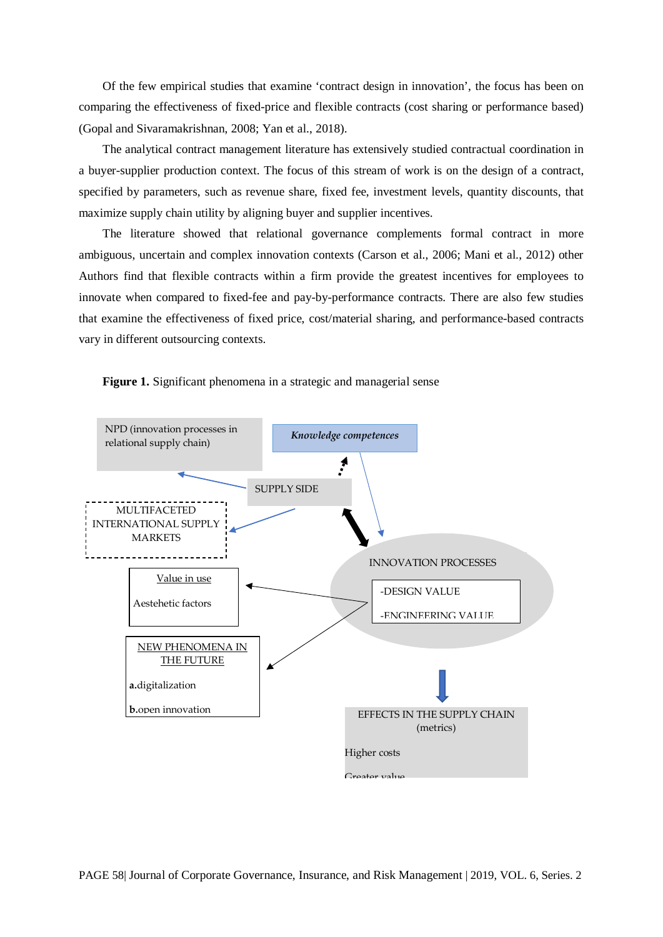Of the few empirical studies that examine 'contract design in innovation', the focus has been on comparing the effectiveness of fixed-price and flexible contracts (cost sharing or performance based) (Gopal and Sivaramakrishnan, 2008; Yan et al., 2018).

The analytical contract management literature has extensively studied contractual coordination in a buyer-supplier production context. The focus of this stream of work is on the design of a contract, specified by parameters, such as revenue share, fixed fee, investment levels, quantity discounts, that maximize supply chain utility by aligning buyer and supplier incentives.

The literature showed that relational governance complements formal contract in more ambiguous, uncertain and complex innovation contexts (Carson et al., 2006; Mani et al., 2012) other Authors find that flexible contracts within a firm provide the greatest incentives for employees to innovate when compared to fixed-fee and pay-by-performance contracts. There are also few studies that examine the effectiveness of fixed price, cost/material sharing, and performance-based contracts vary in different outsourcing contexts.



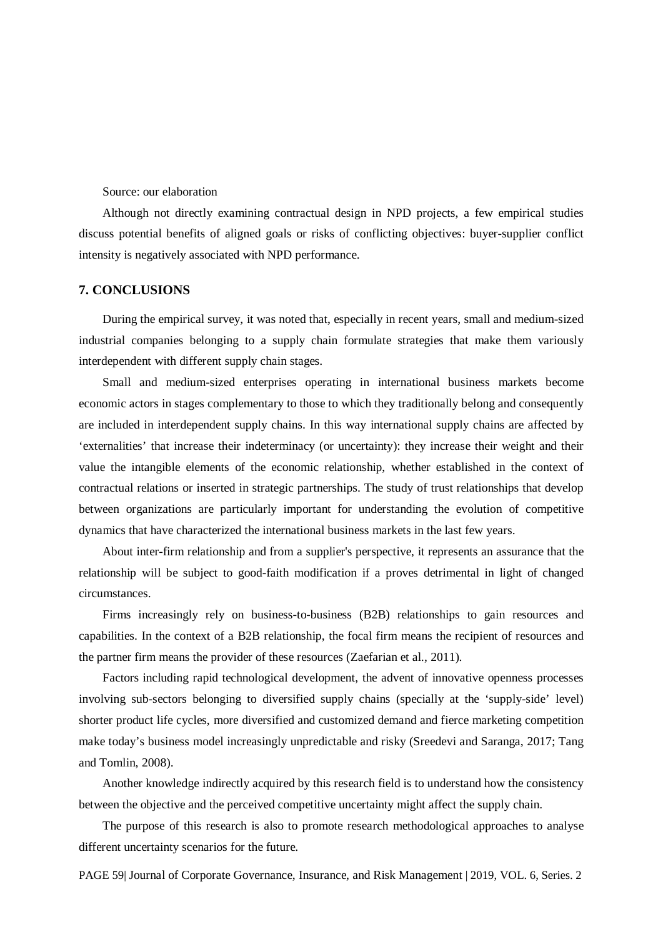Source: our elaboration

Although not directly examining contractual design in NPD projects, a few empirical studies discuss potential benefits of aligned goals or risks of conflicting objectives: buyer-supplier conflict intensity is negatively associated with NPD performance.

#### **7. CONCLUSIONS**

During the empirical survey, it was noted that, especially in recent years, small and medium-sized industrial companies belonging to a supply chain formulate strategies that make them variously interdependent with different supply chain stages.

Small and medium-sized enterprises operating in international business markets become economic actors in stages complementary to those to which they traditionally belong and consequently are included in interdependent supply chains. In this way international supply chains are affected by 'externalities' that increase their indeterminacy (or uncertainty): they increase their weight and their value the intangible elements of the economic relationship, whether established in the context of contractual relations or inserted in strategic partnerships. The study of trust relationships that develop between organizations are particularly important for understanding the evolution of competitive dynamics that have characterized the international business markets in the last few years.

About inter-firm relationship and from a supplier's perspective, it represents an assurance that the relationship will be subject to good-faith modification if a proves detrimental in light of changed circumstances.

Firms increasingly rely on business-to-business (B2B) relationships to gain resources and capabilities. In the context of a B2B relationship, the focal firm means the recipient of resources and the partner firm means the provider of these resources (Zaefarian et al., 2011).

Factors including rapid technological development, the advent of innovative openness processes involving sub-sectors belonging to diversified supply chains (specially at the 'supply-side' level) shorter product life cycles, more diversified and customized demand and fierce marketing competition make today's business model increasingly unpredictable and risky (Sreedevi and Saranga, 2017; Tang and Tomlin, 2008).

Another knowledge indirectly acquired by this research field is to understand how the consistency between the objective and the perceived competitive uncertainty might affect the supply chain.

The purpose of this research is also to promote research methodological approaches to analyse different uncertainty scenarios for the future.

PAGE 59| Journal of Corporate Governance, Insurance, and Risk Management | 2019, VOL. 6, Series. 2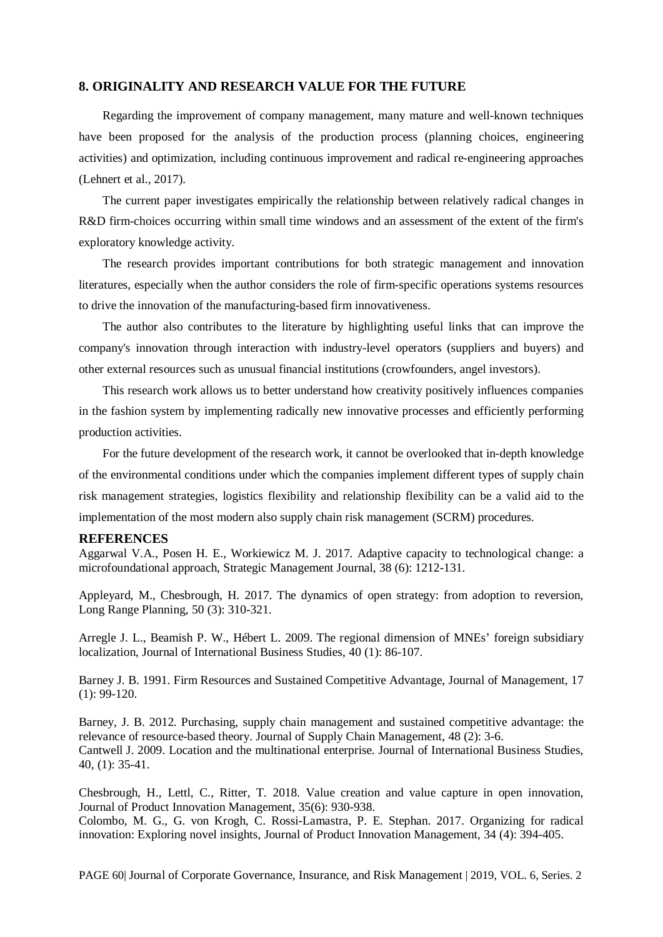#### **8. ORIGINALITY AND RESEARCH VALUE FOR THE FUTURE**

Regarding the improvement of company management, many mature and well-known techniques have been proposed for the analysis of the production process (planning choices, engineering activities) and optimization, including continuous improvement and radical re-engineering approaches (Lehnert et al., 2017).

The current paper investigates empirically the relationship between relatively radical changes in R&D firm-choices occurring within small time windows and an assessment of the extent of the firm's exploratory knowledge activity.

The research provides important contributions for both strategic management and innovation literatures, especially when the author considers the role of firm-specific operations systems resources to drive the innovation of the manufacturing-based firm innovativeness.

The author also contributes to the literature by highlighting useful links that can improve the company's innovation through interaction with industry-level operators (suppliers and buyers) and other external resources such as unusual financial institutions (crowfounders, angel investors).

This research work allows us to better understand how creativity positively influences companies in the fashion system by implementing radically new innovative processes and efficiently performing production activities.

For the future development of the research work, it cannot be overlooked that in-depth knowledge of the environmental conditions under which the companies implement different types of supply chain risk management strategies, logistics flexibility and relationship flexibility can be a valid aid to the implementation of the most modern also supply chain risk management (SCRM) procedures.

#### **REFERENCES**

Aggarwal V.A., Posen H. E., Workiewicz M. J. 2017. Adaptive capacity to technological change: a microfoundational approach, Strategic Management Journal, 38 (6): 1212-131.

Appleyard, M., Chesbrough, H. 2017. The dynamics of open strategy: from adoption to reversion, Long Range Planning, 50 (3): 310-321.

Arregle J. L., Beamish P. W., Hébert L. 2009. The regional dimension of MNEs' foreign subsidiary localization, Journal of International Business Studies, 40 (1): 86-107.

Barney J. B. 1991. Firm Resources and Sustained Competitive Advantage, Journal of Management, 17 (1): 99-120.

Barney, J. B. 2012. Purchasing, supply chain management and sustained competitive advantage: the relevance of resource-based theory. Journal of Supply Chain Management, 48 (2): 3-6. Cantwell J. 2009. Location and the multinational enterprise. Journal of International Business Studies, 40, (1): 35-41.

Chesbrough, H., Lettl, C., Ritter, T. 2018. Value creation and value capture in open innovation, Journal of Product Innovation Management, 35(6): 930-938.

Colombo, M. G., G. von Krogh, C. Rossi-Lamastra, P. E. Stephan. 2017. Organizing for radical innovation: Exploring novel insights, Journal of Product Innovation Management, 34 (4): 394-405.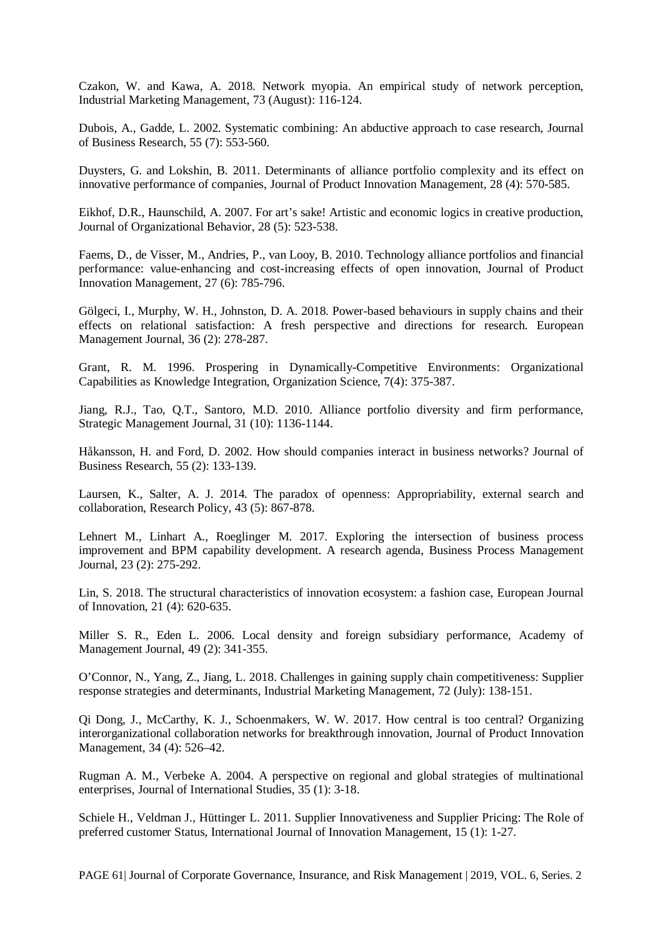Czakon, W. and Kawa, A. 2018. Network myopia. An empirical study of network perception, Industrial Marketing Management, 73 (August): 116-124.

Dubois, A., Gadde, L. 2002. Systematic combining: An abductive approach to case research, Journal of Business Research, 55 (7): 553-560.

Duysters, G. and Lokshin, B. 2011. Determinants of alliance portfolio complexity and its effect on innovative performance of companies, Journal of Product Innovation Management, 28 (4): 570-585.

Eikhof, D.R., Haunschild, A. 2007. For art's sake! Artistic and economic logics in creative production, Journal of Organizational Behavior, 28 (5): 523-538.

Faems, D., de Visser, M., Andries, P., van Looy, B. 2010. Technology alliance portfolios and financial performance: value-enhancing and cost-increasing effects of open innovation, Journal of Product Innovation Management, 27 (6): 785-796.

Gölgeci, I., Murphy, W. H., Johnston, D. A. 2018. Power-based behaviours in supply chains and their effects on relational satisfaction: A fresh perspective and directions for research. European Management Journal, 36 (2): 278-287.

Grant, R. M. 1996. Prospering in Dynamically-Competitive Environments: Organizational Capabilities as Knowledge Integration, Organization Science, 7(4): 375-387.

Jiang, R.J., Tao, Q.T., Santoro, M.D. 2010. Alliance portfolio diversity and firm performance, Strategic Management Journal, 31 (10): 1136-1144.

Håkansson, H. and Ford, D. 2002. How should companies interact in business networks? Journal of Business Research, 55 (2): 133-139.

Laursen, K., Salter, A. J. 2014. The paradox of openness: Appropriability, external search and collaboration, Research Policy, 43 (5): 867-878.

Lehnert M., Linhart A., Roeglinger M. 2017. Exploring the intersection of business process improvement and BPM capability development. A research agenda, Business Process Management Journal, 23 (2): 275-292.

Lin, S. 2018. The structural characteristics of innovation ecosystem: a fashion case, European Journal of Innovation, 21 (4): 620-635.

Miller S. R., Eden L. 2006. Local density and foreign subsidiary performance, Academy of Management Journal, 49 (2): 341-355.

O'Connor, N., Yang, Z., Jiang, L. 2018. Challenges in gaining supply chain competitiveness: Supplier response strategies and determinants, Industrial Marketing Management, 72 (July): 138-151.

Qi Dong, J., McCarthy, K. J., Schoenmakers, W. W. 2017. How central is too central? Organizing interorganizational collaboration networks for breakthrough innovation, Journal of Product Innovation Management, 34 (4): 526–42.

Rugman A. M., Verbeke A. 2004. A perspective on regional and global strategies of multinational enterprises, Journal of International Studies, 35 (1): 3-18.

Schiele H., Veldman J., Hüttinger L. 2011. Supplier Innovativeness and Supplier Pricing: The Role of preferred customer Status, International Journal of Innovation Management, 15 (1): 1-27.